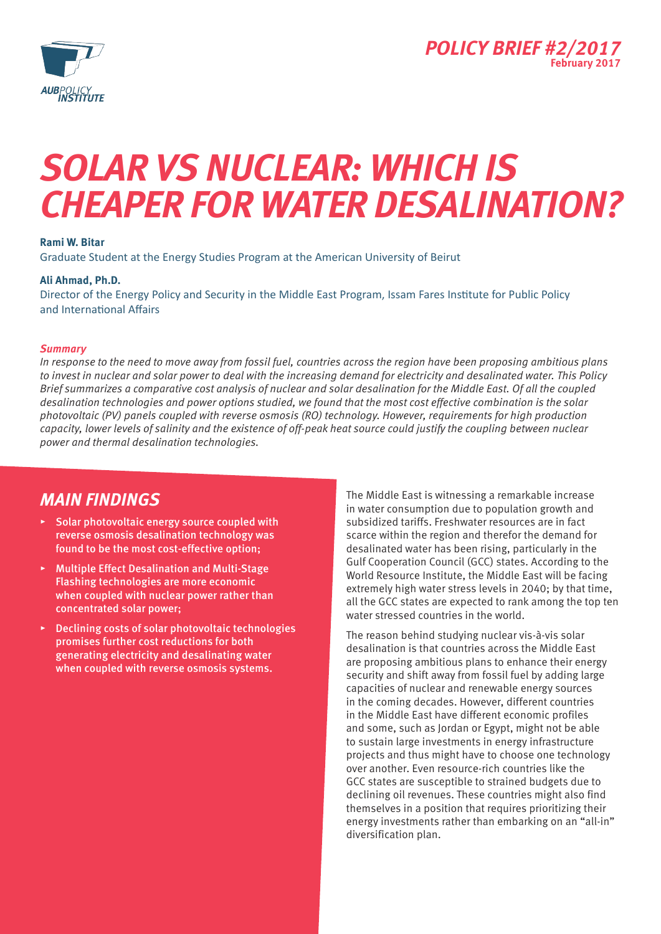

## *Solar vs Nuclear: Which is cheaper for water desalination?*

### **Rami W. Bitar**

Graduate Student at the Energy Studies Program at the American University of Beirut

### **Ali Ahmad, Ph.D.**

Director of the Energy Policy and Security in the Middle East Program, Issam Fares Institute for Public Policy and International Affairs

### *Summary*

*In response to the need to move away from fossil fuel, countries across the region have been proposing ambitious plans to invest in nuclear and solar power to deal with the increasing demand for electricity and desalinated water. This Policy Brief summarizes a comparative cost analysis of nuclear and solar desalination for the Middle East. Of all the coupled desalination technologies and power options studied, we found that the most cost effective combination is the solar photovoltaic (PV) panels coupled with reverse osmosis (RO) technology. However, requirements for high production capacity, lower levels of salinity and the existence of off-peak heat source could justify the coupling between nuclear power and thermal desalination technologies.* 

### *Main findings*

- ▸ Solar photovoltaic energy source coupled with reverse osmosis desalination technology was found to be the most cost-effective option;
- ▸ Multiple Effect Desalination and Multi-Stage Flashing technologies are more economic when coupled with nuclear power rather than concentrated solar power;
- ▸ Declining costs of solar photovoltaic technologies promises further cost reductions for both generating electricity and desalinating water when coupled with reverse osmosis systems.

The Middle East is witnessing a remarkable increase in water consumption due to population growth and subsidized tariffs. Freshwater resources are in fact scarce within the region and therefor the demand for desalinated water has been rising, particularly in the Gulf Cooperation Council (GCC) states. According to the World Resource Institute, the Middle East will be facing extremely high water stress levels in 2040; by that time, all the GCC states are expected to rank among the top ten water stressed countries in the world.

The reason behind studying nuclear vis-à-vis solar desalination is that countries across the Middle East are proposing ambitious plans to enhance their energy security and shift away from fossil fuel by adding large capacities of nuclear and renewable energy sources in the coming decades. However, different countries in the Middle East have different economic profiles and some, such as Jordan or Egypt, might not be able to sustain large investments in energy infrastructure projects and thus might have to choose one technology over another. Even resource-rich countries like the GCC states are susceptible to strained budgets due to declining oil revenues. These countries might also find themselves in a position that requires prioritizing their energy investments rather than embarking on an "all-in" diversification plan.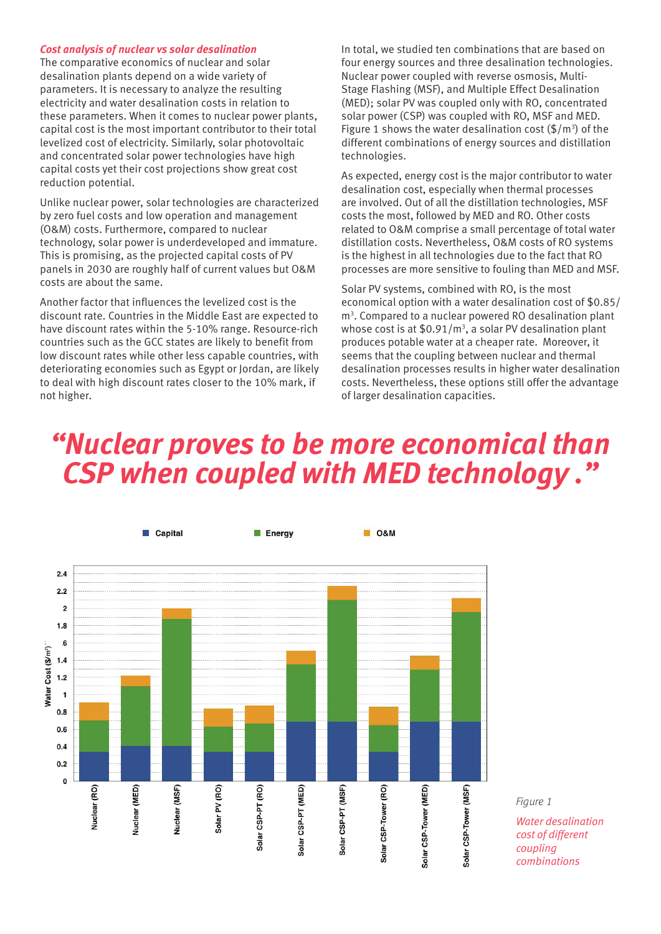### *Cost analysis of nuclear vs solar desalination*

The comparative economics of nuclear and solar desalination plants depend on a wide variety of parameters. It is necessary to analyze the resulting electricity and water desalination costs in relation to these parameters. When it comes to nuclear power plants, capital cost is the most important contributor to their total levelized cost of electricity. Similarly, solar photovoltaic and concentrated solar power technologies have high capital costs yet their cost projections show great cost reduction potential.

Unlike nuclear power, solar technologies are characterized by zero fuel costs and low operation and management (O&M) costs. Furthermore, compared to nuclear technology, solar power is underdeveloped and immature. This is promising, as the projected capital costs of PV panels in 2030 are roughly half of current values but O&M costs are about the same.

Another factor that influences the levelized cost is the discount rate. Countries in the Middle East are expected to have discount rates within the 5-10% range. Resource-rich countries such as the GCC states are likely to benefit from low discount rates while other less capable countries, with deteriorating economies such as Egypt or Jordan, are likely to deal with high discount rates closer to the 10% mark, if not higher.

In total, we studied ten combinations that are based on four energy sources and three desalination technologies. Nuclear power coupled with reverse osmosis, Multi-Stage Flashing (MSF), and Multiple Effect Desalination (MED); solar PV was coupled only with RO, concentrated solar power (CSP) was coupled with RO, MSF and MED. Figure 1 shows the water desalination cost  $(\frac{5}{m^3})$  of the different combinations of energy sources and distillation technologies.

As expected, energy cost is the major contributor to water desalination cost, especially when thermal processes are involved. Out of all the distillation technologies, MSF costs the most, followed by MED and RO. Other costs related to O&M comprise a small percentage of total water distillation costs. Nevertheless, O&M costs of RO systems is the highest in all technologies due to the fact that RO processes are more sensitive to fouling than MED and MSF.

Solar PV systems, combined with RO, is the most economical option with a water desalination cost of \$0.85/ m3 . Compared to a nuclear powered RO desalination plant whose cost is at  $$0.91/m^3$ , a solar PV desalination plant produces potable water at a cheaper rate. Moreover, it seems that the coupling between nuclear and thermal desalination processes results in higher water desalination costs. Nevertheless, these options still offer the advantage of larger desalination capacities.

## *"Nuclear proves to be more economical than CSP when coupled with MED technology ."*



*Figure 1 Water desalination cost of different coupling combinations*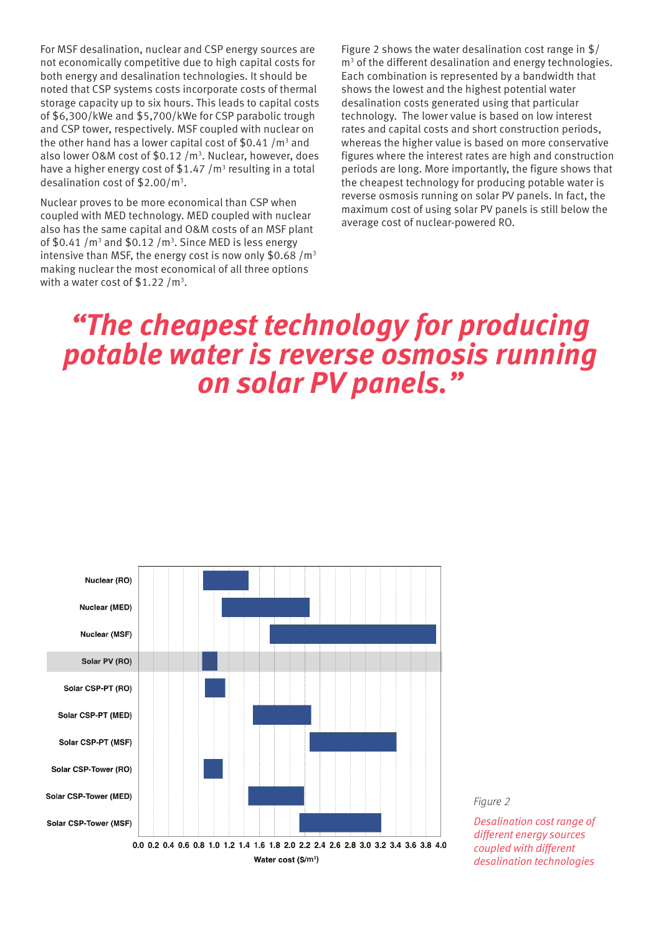For MSF desalination, nuclear and CSP energy sources are not economically competitive due to high capital costs for both energy and desalination technologies. It should be noted that CSP systems costs incorporate costs of thermal storage capacity up to six hours. This leads to capital costs of \$6,300/kWe and \$5,700/kWe for CSP parabolic trough and CSP tower, respectively. MSF coupled with nuclear on the other hand has a lower capital cost of  $$0.41/m<sup>3</sup>$  and also lower O&M cost of \$0.12 /m<sup>3</sup>. Nuclear, however, does have a higher energy cost of  $$1.47/m<sup>3</sup>$  resulting in a total desalination cost of  $$2.00/m<sup>3</sup>$ .

Nuclear proves to be more economical than CSP when coupled with MED technology. MED coupled with nuclear also has the same capital and O&M costs of an MSF plant of \$0.41 / $m<sup>3</sup>$  and \$0.12 / $m<sup>3</sup>$ . Since MED is less energy intensive than MSF, the energy cost is now only \$0.68  $/m<sup>3</sup>$ making nuclear the most economical of all three options with a water cost of  $$1.22/m<sup>3</sup>$ .

Figure 2 shows the water desalination cost range in \$/ m<sup>3</sup> of the different desalination and energy technologies. Each combination is represented by a bandwidth that shows the lowest and the highest potential water desalination costs generated using that particular technology. The lower value is based on low interest rates and capital costs and short construction periods, whereas the higher value is based on more conservative figures where the interest rates are high and construction periods are long. More importantly, the figure shows that the cheapest technology for producing potable water is reverse osmosis running on solar PV panels. In fact, the maximum cost of using solar PV panels is still below the average cost of nuclear-powered RO.

# *"The cheapest technology for producing potable water is reverse osmosis running on solar PV panels."*



*Figure 2*

*Desalination cost range of different energy sources coupled with different desalination technologies*